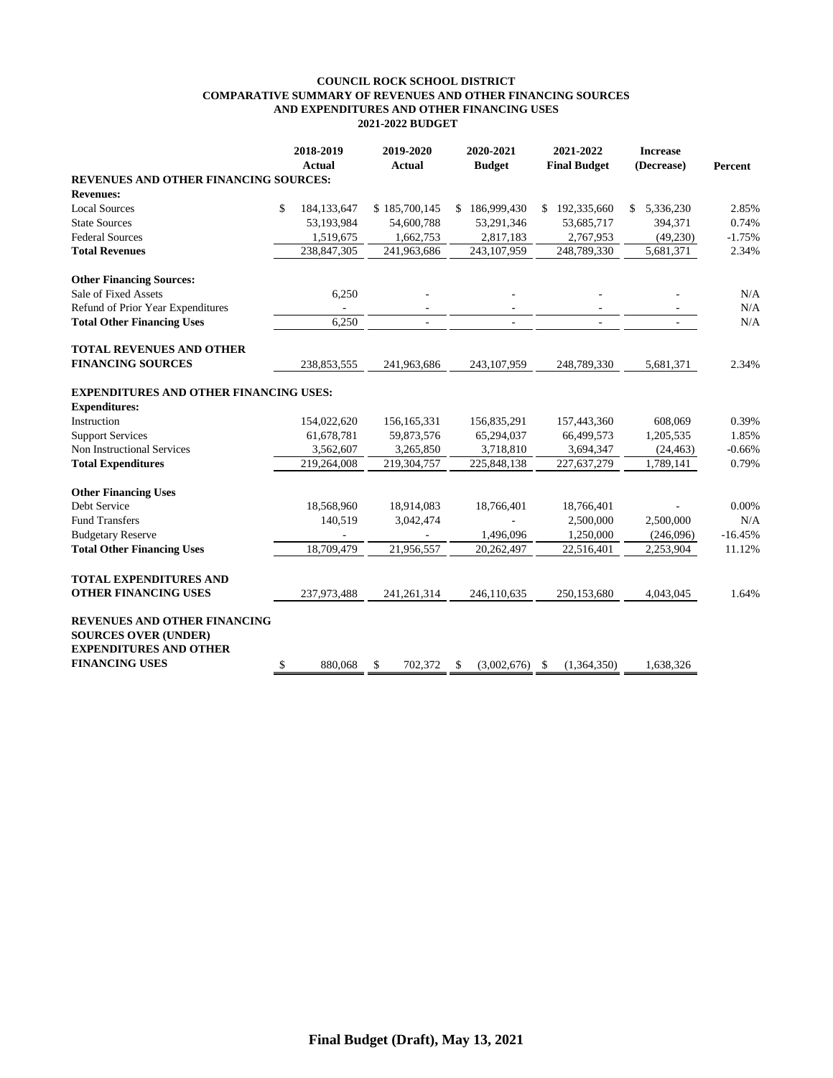## **COUNCIL ROCK SCHOOL DISTRICT COMPARATIVE SUMMARY OF REVENUES AND OTHER FINANCING SOURCES AND EXPENDITURES AND OTHER FINANCING USES 2021-2022 BUDGET**

|                                                                                              | 2018-2019<br><b>Actual</b> |               | 2019-2020<br><b>Actual</b> |    | 2020-2021<br><b>Budget</b> |    | 2021-2022<br><b>Final Budget</b> |    | <b>Increase</b><br>(Decrease) | Percent   |
|----------------------------------------------------------------------------------------------|----------------------------|---------------|----------------------------|----|----------------------------|----|----------------------------------|----|-------------------------------|-----------|
| REVENUES AND OTHER FINANCING SOURCES:                                                        |                            |               |                            |    |                            |    |                                  |    |                               |           |
| <b>Revenues:</b>                                                                             |                            |               |                            |    |                            |    |                                  |    |                               |           |
| <b>Local Sources</b>                                                                         | \$                         | 184, 133, 647 | \$185,700,145              |    | \$186,999,430              | \$ | 192,335,660                      | S. | 5,336,230                     | 2.85%     |
| <b>State Sources</b>                                                                         |                            | 53,193,984    | 54,600,788                 |    | 53,291,346                 |    | 53,685,717                       |    | 394,371                       | 0.74%     |
| <b>Federal Sources</b>                                                                       |                            | 1,519,675     | 1,662,753                  |    | 2,817,183                  |    | 2,767,953                        |    | (49,230)                      | $-1.75%$  |
| <b>Total Revenues</b>                                                                        |                            | 238,847,305   | 241,963,686                |    | 243,107,959                |    | 248,789,330                      |    | 5,681,371                     | 2.34%     |
| <b>Other Financing Sources:</b>                                                              |                            |               |                            |    |                            |    |                                  |    |                               |           |
| Sale of Fixed Assets                                                                         |                            | 6,250         |                            |    |                            |    |                                  |    |                               | N/A       |
| Refund of Prior Year Expenditures                                                            |                            |               | $\overline{\phantom{a}}$   |    |                            |    |                                  |    |                               | N/A       |
| <b>Total Other Financing Uses</b>                                                            |                            | 6,250         | $\overline{\phantom{a}}$   |    | $\overline{\phantom{a}}$   |    | $\sim$                           |    | $\sim$                        | N/A       |
| <b>TOTAL REVENUES AND OTHER</b>                                                              |                            |               |                            |    |                            |    |                                  |    |                               |           |
| <b>FINANCING SOURCES</b>                                                                     |                            | 238,853,555   | 241,963,686                |    | 243,107,959                |    | 248,789,330                      |    | 5,681,371                     | 2.34%     |
| <b>EXPENDITURES AND OTHER FINANCING USES:</b>                                                |                            |               |                            |    |                            |    |                                  |    |                               |           |
| <b>Expenditures:</b>                                                                         |                            |               |                            |    |                            |    |                                  |    |                               |           |
| Instruction                                                                                  |                            | 154,022,620   | 156, 165, 331              |    | 156,835,291                |    | 157,443,360                      |    | 608,069                       | 0.39%     |
| <b>Support Services</b>                                                                      |                            | 61,678,781    | 59,873,576                 |    | 65,294,037                 |    | 66,499,573                       |    | 1,205,535                     | 1.85%     |
| Non Instructional Services                                                                   |                            | 3,562,607     | 3,265,850                  |    | 3,718,810                  |    | 3,694,347                        |    | (24, 463)                     | $-0.66%$  |
| <b>Total Expenditures</b>                                                                    |                            | 219,264,008   | 219,304,757                |    | 225,848,138                |    | 227,637,279                      |    | 1,789,141                     | 0.79%     |
| <b>Other Financing Uses</b>                                                                  |                            |               |                            |    |                            |    |                                  |    |                               |           |
| Debt Service                                                                                 |                            | 18,568,960    | 18,914,083                 |    | 18,766,401                 |    | 18,766,401                       |    |                               | 0.00%     |
| <b>Fund Transfers</b>                                                                        |                            | 140,519       | 3,042,474                  |    |                            |    | 2,500,000                        |    | 2,500,000                     | N/A       |
| <b>Budgetary Reserve</b>                                                                     |                            |               |                            |    | 1,496,096                  |    | 1,250,000                        |    | (246,096)                     | $-16.45%$ |
| <b>Total Other Financing Uses</b>                                                            |                            | 18,709,479    | 21,956,557                 |    | 20,262,497                 |    | 22,516,401                       |    | 2,253,904                     | 11.12%    |
| <b>TOTAL EXPENDITURES AND</b>                                                                |                            |               |                            |    |                            |    |                                  |    |                               |           |
| <b>OTHER FINANCING USES</b>                                                                  |                            | 237,973,488   | 241,261,314                |    | 246,110,635                |    | 250,153,680                      |    | 4,043,045                     | 1.64%     |
| REVENUES AND OTHER FINANCING<br><b>SOURCES OVER (UNDER)</b><br><b>EXPENDITURES AND OTHER</b> |                            |               |                            |    |                            |    |                                  |    |                               |           |
| <b>FINANCING USES</b>                                                                        | \$                         | 880,068       | 702,372<br>\$              | \$ | (3,002,676)                | \$ | (1,364,350)                      |    | 1,638,326                     |           |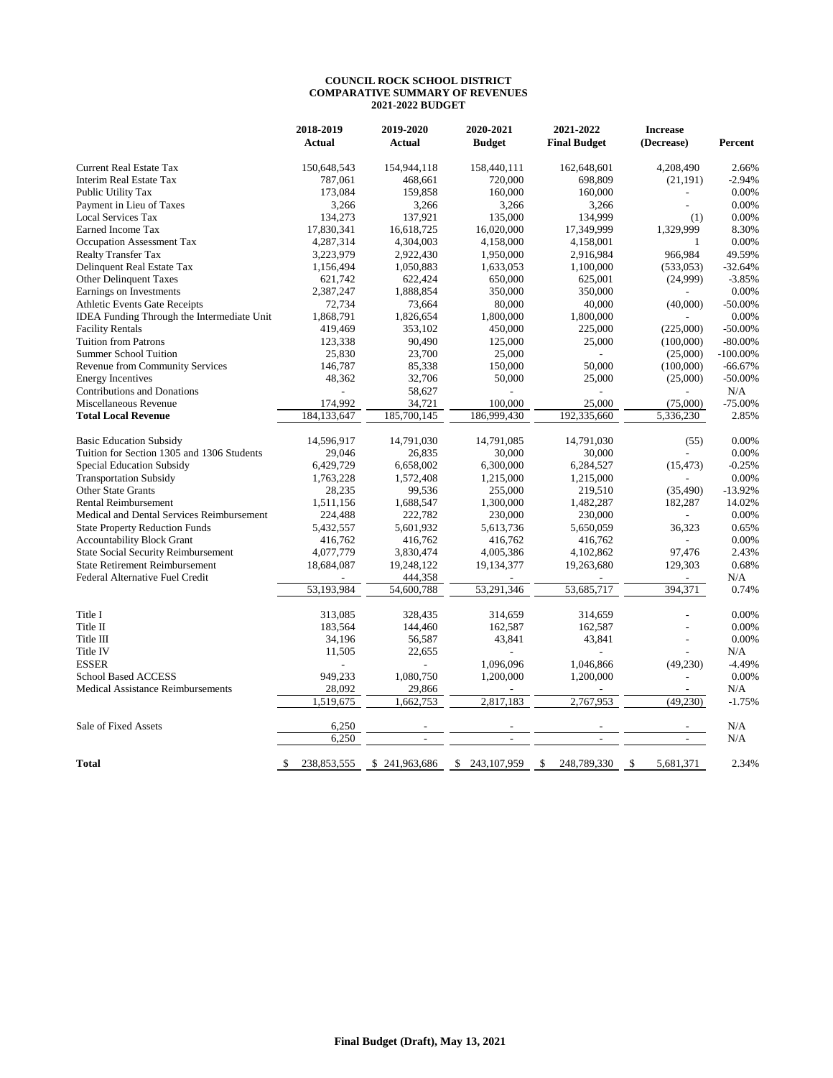## **COUNCIL ROCK SCHOOL DISTRICT COMPARATIVE SUMMARY OF REVENUES 2021-2022 BUDGET**

|                                                   | 2018-2019         | 2019-2020      | 2020-2021         | 2021-2022           | <b>Increase</b> |             |
|---------------------------------------------------|-------------------|----------------|-------------------|---------------------|-----------------|-------------|
|                                                   | <b>Actual</b>     | <b>Actual</b>  | <b>Budget</b>     | <b>Final Budget</b> | (Decrease)      | Percent     |
| <b>Current Real Estate Tax</b>                    | 150,648,543       | 154,944,118    | 158,440,111       | 162,648,601         | 4,208,490       | 2.66%       |
| <b>Interim Real Estate Tax</b>                    | 787,061           | 468,661        | 720,000           | 698,809             | (21, 191)       | $-2.94%$    |
| Public Utility Tax                                | 173,084           | 159,858        | 160,000           | 160,000             |                 | 0.00%       |
| Payment in Lieu of Taxes                          | 3,266             | 3,266          | 3,266             | 3,266               | $\overline{a}$  | 0.00%       |
| <b>Local Services Tax</b>                         | 134,273           | 137,921        | 135,000           | 134,999             | (1)             | 0.00%       |
| Earned Income Tax                                 | 17,830,341        | 16,618,725     | 16,020,000        | 17,349,999          | 1,329,999       | 8.30%       |
| Occupation Assessment Tax                         | 4,287,314         | 4,304,003      | 4,158,000         | 4,158,001           | $\mathbf{1}$    | 0.00%       |
| <b>Realty Transfer Tax</b>                        | 3,223,979         | 2,922,430      | 1,950,000         | 2,916,984           | 966,984         | 49.59%      |
| Delinquent Real Estate Tax                        | 1,156,494         | 1,050,883      | 1,633,053         | 1,100,000           | (533, 053)      | $-32.64%$   |
| Other Delinquent Taxes                            | 621,742           | 622,424        | 650,000           | 625,001             | (24,999)        | $-3.85%$    |
| Earnings on Investments                           | 2,387,247         | 1,888,854      | 350,000           | 350,000             |                 | 0.00%       |
| <b>Athletic Events Gate Receipts</b>              | 72,734            | 73,664         | 80,000            | 40,000              | (40,000)        | $-50.00%$   |
| <b>IDEA Funding Through the Intermediate Unit</b> | 1,868,791         | 1,826,654      | 1,800,000         | 1,800,000           |                 | 0.00%       |
| <b>Facility Rentals</b>                           | 419,469           | 353,102        | 450,000           | 225,000             | (225,000)       | $-50.00%$   |
| <b>Tuition from Patrons</b>                       | 123,338           | 90,490         | 125,000           | 25,000              | (100,000)       | $-80.00%$   |
| <b>Summer School Tuition</b>                      | 25,830            | 23,700         | 25,000            | $\overline{a}$      | (25,000)        | $-100.00\%$ |
| <b>Revenue from Community Services</b>            | 146,787           | 85,338         | 150,000           | 50,000              | (100,000)       | $-66.67%$   |
| <b>Energy Incentives</b>                          | 48,362            | 32,706         | 50,000            | 25,000              | (25,000)        | $-50.00%$   |
| <b>Contributions and Donations</b>                |                   | 58,627         |                   |                     |                 | N/A         |
| Miscellaneous Revenue                             | 174,992           | 34,721         | 100,000           | 25,000              | (75,000)        | $-75.00%$   |
| <b>Total Local Revenue</b>                        | 184,133,647       | 185,700,145    | 186,999,430       | 192,335,660         | 5,336,230       | 2.85%       |
| <b>Basic Education Subsidy</b>                    | 14,596,917        | 14,791,030     | 14,791,085        | 14,791,030          | (55)            | 0.00%       |
| Tuition for Section 1305 and 1306 Students        | 29,046            | 26,835         | 30,000            | 30,000              |                 | 0.00%       |
| Special Education Subsidy                         | 6,429,729         | 6,658,002      | 6,300,000         | 6,284,527           | (15, 473)       | $-0.25%$    |
| <b>Transportation Subsidy</b>                     | 1,763,228         | 1,572,408      | 1,215,000         | 1,215,000           |                 | 0.00%       |
| <b>Other State Grants</b>                         | 28,235            | 99,536         | 255,000           | 219,510             | (35, 490)       | $-13.92%$   |
| <b>Rental Reimbursement</b>                       | 1,511,156         | 1,688,547      | 1,300,000         | 1,482,287           | 182,287         | 14.02%      |
| Medical and Dental Services Reimbursement         | 224,488           | 222,782        | 230,000           | 230,000             |                 | 0.00%       |
| <b>State Property Reduction Funds</b>             | 5,432,557         | 5,601,932      | 5,613,736         | 5,650,059           | 36,323          | 0.65%       |
| <b>Accountability Block Grant</b>                 | 416,762           | 416,762        | 416,762           | 416,762             | $\overline{a}$  | 0.00%       |
| <b>State Social Security Reimbursement</b>        | 4,077,779         | 3,830,474      | 4,005,386         | 4,102,862           | 97,476          | 2.43%       |
| <b>State Retirement Reimbursement</b>             | 18,684,087        | 19,248,122     | 19,134,377        | 19,263,680          | 129,303         | 0.68%       |
| Federal Alternative Fuel Credit                   |                   | 444,358        |                   |                     |                 | N/A         |
|                                                   | 53,193,984        | 54,600,788     | 53,291,346        | 53,685,717          | 394,371         | 0.74%       |
|                                                   |                   |                |                   |                     |                 |             |
| Title I                                           | 313,085           | 328,435        | 314,659           | 314,659             |                 | 0.00%       |
| Title II                                          | 183,564           | 144,460        | 162,587           | 162,587             |                 | 0.00%       |
| Title III                                         | 34,196            | 56,587         | 43,841            | 43,841              |                 | 0.00%       |
| Title IV                                          | 11,505            | 22,655         |                   |                     |                 | N/A         |
| <b>ESSER</b>                                      |                   | $\overline{a}$ | 1,096,096         | 1,046,866           | (49, 230)       | $-4.49%$    |
| <b>School Based ACCESS</b>                        | 949,233           | 1,080,750      | 1,200,000         | 1,200,000           | $\overline{a}$  | 0.00%       |
| <b>Medical Assistance Reimbursements</b>          | 28,092            | 29,866         |                   |                     |                 | N/A         |
|                                                   | 1,519,675         | 1,662,753      | 2,817,183         | 2.767.953           | (49, 230)       | $-1.75%$    |
| Sale of Fixed Assets                              | 6,250             | L,             |                   |                     |                 | N/A         |
|                                                   | 6.250             | L,             | $\overline{a}$    | $\overline{a}$      |                 | N/A         |
| Total                                             | \$<br>238,853,555 | \$241,963,686  | 243,107,959<br>\$ | 248,789,330<br>\$   | \$<br>5,681,371 | 2.34%       |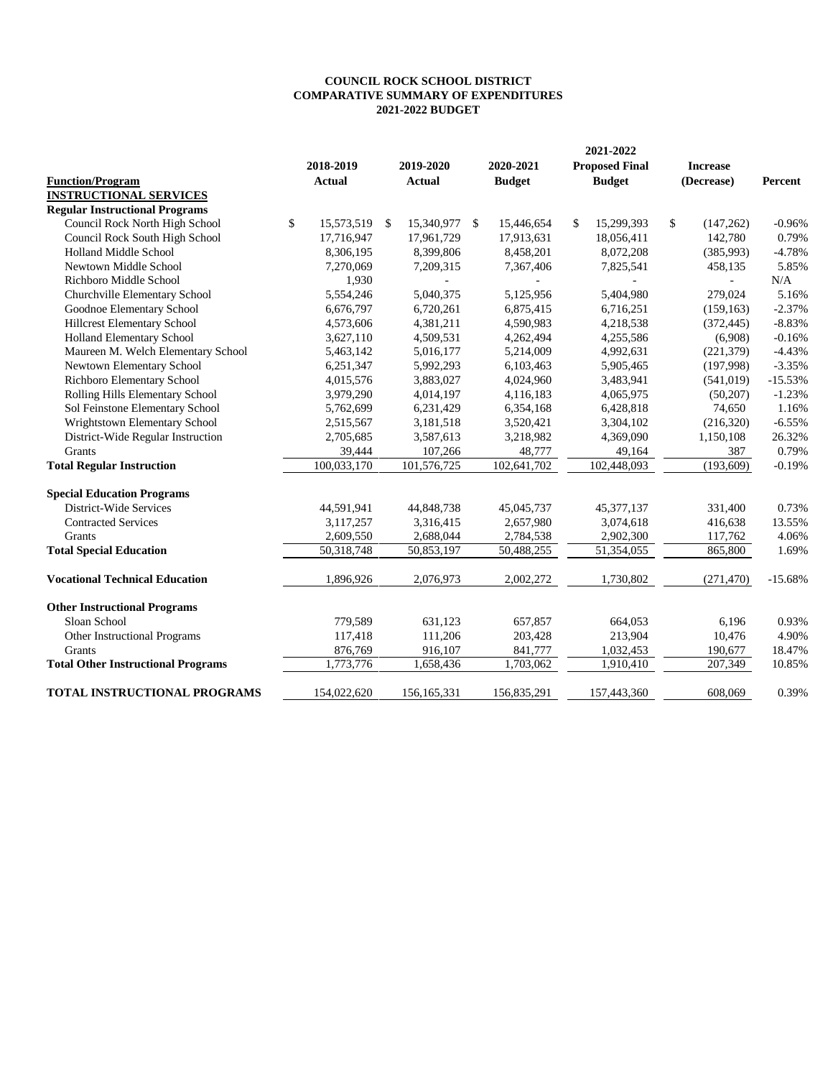## **COMPARATIVE SUMMARY OF EXPENDITURES COUNCIL ROCK SCHOOL DISTRICT 2021-2022 BUDGET**

|                                                          |    | 2021-2022                  |               |                            |      |                            |    |                                        |    |                 |           |
|----------------------------------------------------------|----|----------------------------|---------------|----------------------------|------|----------------------------|----|----------------------------------------|----|-----------------|-----------|
| <b>Function/Program</b><br><b>INSTRUCTIONAL SERVICES</b> |    | 2018-2019<br><b>Actual</b> |               | 2019-2020<br><b>Actual</b> |      | 2020-2021<br><b>Budget</b> |    | <b>Proposed Final</b><br><b>Budget</b> |    | <b>Increase</b> | Percent   |
|                                                          |    |                            |               |                            |      |                            |    |                                        |    | (Decrease)      |           |
|                                                          |    |                            |               |                            |      |                            |    |                                        |    |                 |           |
| <b>Regular Instructional Programs</b>                    |    |                            |               |                            |      |                            |    |                                        |    |                 |           |
| Council Rock North High School                           | \$ | 15,573,519                 | <sup>\$</sup> | 15,340,977                 | - \$ | 15,446,654                 | \$ | 15,299,393                             | \$ | (147, 262)      | $-0.96%$  |
| Council Rock South High School                           |    | 17,716,947                 |               | 17,961,729                 |      | 17,913,631                 |    | 18,056,411                             |    | 142,780         | 0.79%     |
| Holland Middle School                                    |    | 8,306,195                  |               | 8,399,806                  |      | 8,458,201                  |    | 8,072,208                              |    | (385,993)       | $-4.78%$  |
| Newtown Middle School                                    |    | 7,270,069                  |               | 7,209,315                  |      | 7,367,406                  |    | 7,825,541                              |    | 458,135         | 5.85%     |
| Richboro Middle School                                   |    | 1,930                      |               |                            |      |                            |    |                                        |    |                 | N/A       |
| Churchville Elementary School                            |    | 5,554,246                  |               | 5,040,375                  |      | 5,125,956                  |    | 5,404,980                              |    | 279,024         | 5.16%     |
| Goodnoe Elementary School                                |    | 6,676,797                  |               | 6,720,261                  |      | 6,875,415                  |    | 6,716,251                              |    | (159, 163)      | $-2.37%$  |
| Hillcrest Elementary School                              |    | 4,573,606                  |               | 4,381,211                  |      | 4,590,983                  |    | 4,218,538                              |    | (372, 445)      | $-8.83%$  |
| Holland Elementary School                                |    | 3,627,110                  |               | 4,509,531                  |      | 4,262,494                  |    | 4,255,586                              |    | (6,908)         | $-0.16%$  |
| Maureen M. Welch Elementary School                       |    | 5,463,142                  |               | 5,016,177                  |      | 5,214,009                  |    | 4,992,631                              |    | (221, 379)      | $-4.43%$  |
| Newtown Elementary School                                |    | 6,251,347                  |               | 5,992,293                  |      | 6,103,463                  |    | 5,905,465                              |    | (197,998)       | $-3.35%$  |
| Richboro Elementary School                               |    | 4,015,576                  |               | 3,883,027                  |      | 4,024,960                  |    | 3,483,941                              |    | (541, 019)      | $-15.53%$ |
| Rolling Hills Elementary School                          |    | 3,979,290                  |               | 4,014,197                  |      | 4,116,183                  |    | 4,065,975                              |    | (50, 207)       | $-1.23%$  |
| Sol Feinstone Elementary School                          |    | 5,762,699                  |               | 6,231,429                  |      | 6,354,168                  |    | 6,428,818                              |    | 74,650          | 1.16%     |
| Wrightstown Elementary School                            |    | 2,515,567                  |               | 3,181,518                  |      | 3,520,421                  |    | 3,304,102                              |    | (216,320)       | $-6.55%$  |
| District-Wide Regular Instruction                        |    | 2,705,685                  |               | 3,587,613                  |      | 3,218,982                  |    | 4,369,090                              |    | 1,150,108       | 26.32%    |
| Grants                                                   |    | 39,444                     |               | 107,266                    |      | 48,777                     |    | 49,164                                 |    | 387             | 0.79%     |
| <b>Total Regular Instruction</b>                         |    | 100,033,170                |               | 101,576,725                |      | 102,641,702                |    | 102.448.093                            |    | (193,609)       | $-0.19%$  |
| <b>Special Education Programs</b>                        |    |                            |               |                            |      |                            |    |                                        |    |                 |           |
| District-Wide Services                                   |    | 44,591,941                 |               | 44,848,738                 |      | 45,045,737                 |    | 45, 377, 137                           |    | 331,400         | 0.73%     |
| <b>Contracted Services</b>                               |    | 3,117,257                  |               | 3,316,415                  |      | 2,657,980                  |    | 3,074,618                              |    | 416,638         | 13.55%    |
| <b>Grants</b>                                            |    | 2,609,550                  |               | 2,688,044                  |      | 2,784,538                  |    | 2,902,300                              |    | 117,762         | 4.06%     |
| <b>Total Special Education</b>                           |    | 50,318,748                 |               | 50,853,197                 |      | 50,488,255                 |    | 51,354,055                             |    | 865,800         | 1.69%     |
| <b>Vocational Technical Education</b>                    |    | 1,896,926                  |               | 2,076,973                  |      | 2,002,272                  |    | 1,730,802                              |    | (271, 470)      | $-15.68%$ |
| <b>Other Instructional Programs</b>                      |    |                            |               |                            |      |                            |    |                                        |    |                 |           |
| Sloan School                                             |    | 779,589                    |               | 631,123                    |      | 657,857                    |    | 664,053                                |    | 6,196           | 0.93%     |
| Other Instructional Programs                             |    | 117,418                    |               | 111,206                    |      | 203,428                    |    | 213,904                                |    | 10,476          | 4.90%     |
| Grants                                                   |    | 876,769                    |               | 916,107                    |      | 841,777                    |    | 1,032,453                              |    | 190,677         | 18.47%    |
| <b>Total Other Instructional Programs</b>                |    | 1,773,776                  |               | 1,658,436                  |      | 1,703,062                  |    | 1,910,410                              |    | 207,349         | 10.85%    |
| TOTAL INSTRUCTIONAL PROGRAMS                             |    | 154,022,620                |               | 156, 165, 331              |      | 156,835,291                |    | 157,443,360                            |    | 608,069         | 0.39%     |
|                                                          |    |                            |               |                            |      |                            |    |                                        |    |                 |           |